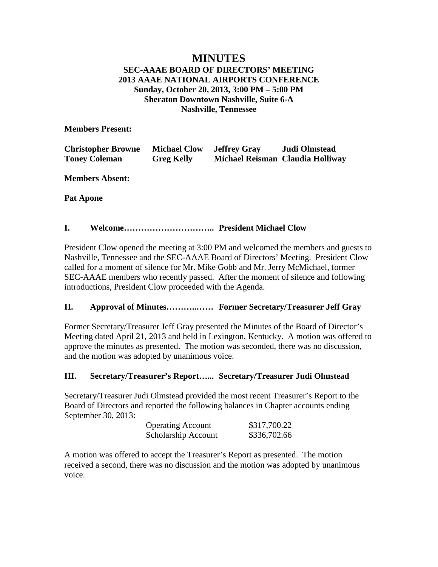## **MINUTES SEC-AAAE BOARD OF DIRECTORS' MEETING 2013 AAAE NATIONAL AIRPORTS CONFERENCE Sunday, October 20, 2013, 3:00 PM – 5:00 PM Sheraton Downtown Nashville, Suite 6-A Nashville, Tennessee**

**Members Present:**

| <b>Christopher Browne</b> | <b>Michael Clow</b> | <b>Jeffrey Gray</b> | Judi Olmstead                    |
|---------------------------|---------------------|---------------------|----------------------------------|
| <b>Toney Coleman</b>      | <b>Greg Kelly</b>   |                     | Michael Reisman Claudia Holliway |

**Members Absent:**

**Pat Apone**

## **I. Welcome………………………….. President Michael Clow**

President Clow opened the meeting at 3:00 PM and welcomed the members and guests to Nashville, Tennessee and the SEC-AAAE Board of Directors' Meeting. President Clow called for a moment of silence for Mr. Mike Gobb and Mr. Jerry McMichael, former SEC-AAAE members who recently passed. After the moment of silence and following introductions, President Clow proceeded with the Agenda.

## **II. Approval of Minutes………..…… Former Secretary/Treasurer Jeff Gray**

Former Secretary/Treasurer Jeff Gray presented the Minutes of the Board of Director's Meeting dated April 21, 2013 and held in Lexington, Kentucky. A motion was offered to approve the minutes as presented. The motion was seconded, there was no discussion, and the motion was adopted by unanimous voice.

## **III. Secretary/Treasurer's Report…... Secretary/Treasurer Judi Olmstead**

Secretary/Treasurer Judi Olmstead provided the most recent Treasurer's Report to the Board of Directors and reported the following balances in Chapter accounts ending September 30, 2013:

| <b>Operating Account</b> | \$317,700.22 |
|--------------------------|--------------|
| Scholarship Account      | \$336,702.66 |

A motion was offered to accept the Treasurer's Report as presented. The motion received a second, there was no discussion and the motion was adopted by unanimous voice.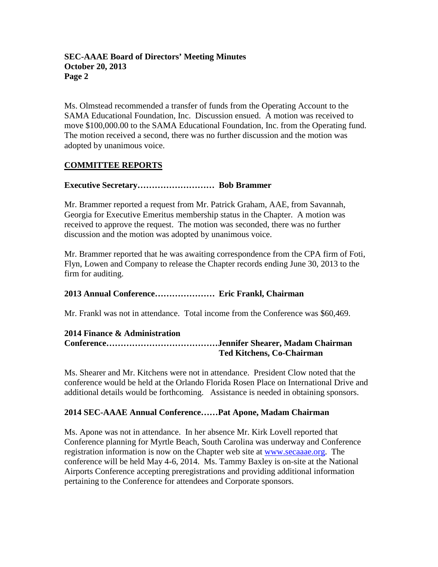Ms. Olmstead recommended a transfer of funds from the Operating Account to the SAMA Educational Foundation, Inc. Discussion ensued. A motion was received to move \$100,000.00 to the SAMA Educational Foundation, Inc. from the Operating fund. The motion received a second, there was no further discussion and the motion was adopted by unanimous voice.

# **COMMITTEE REPORTS**

### **Executive Secretary……………………… Bob Brammer**

Mr. Brammer reported a request from Mr. Patrick Graham, AAE, from Savannah, Georgia for Executive Emeritus membership status in the Chapter. A motion was received to approve the request. The motion was seconded, there was no further discussion and the motion was adopted by unanimous voice.

Mr. Brammer reported that he was awaiting correspondence from the CPA firm of Foti, Flyn, Lowen and Company to release the Chapter records ending June 30, 2013 to the firm for auditing.

## **2013 Annual Conference………………… Eric Frankl, Chairman**

Mr. Frankl was not in attendance. Total income from the Conference was \$60,469.

#### **2014 Finance & Administration Conference…………………………………Jennifer Shearer, Madam Chairman Ted Kitchens, Co-Chairman**

Ms. Shearer and Mr. Kitchens were not in attendance. President Clow noted that the conference would be held at the Orlando Florida Rosen Place on International Drive and additional details would be forthcoming. Assistance is needed in obtaining sponsors.

## **2014 SEC-AAAE Annual Conference……Pat Apone, Madam Chairman**

Ms. Apone was not in attendance. In her absence Mr. Kirk Lovell reported that Conference planning for Myrtle Beach, South Carolina was underway and Conference registration information is now on the Chapter web site at [www.secaaae.org.](http://www.secaaae.org/) The conference will be held May 4-6, 2014. Ms. Tammy Baxley is on-site at the National Airports Conference accepting preregistrations and providing additional information pertaining to the Conference for attendees and Corporate sponsors.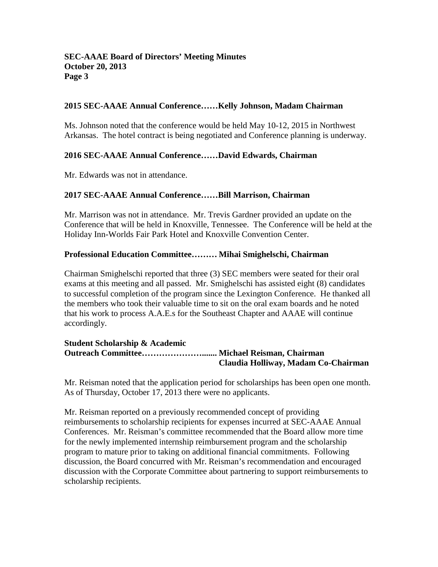#### **2015 SEC-AAAE Annual Conference……Kelly Johnson, Madam Chairman**

Ms. Johnson noted that the conference would be held May 10-12, 2015 in Northwest Arkansas. The hotel contract is being negotiated and Conference planning is underway.

### **2016 SEC-AAAE Annual Conference……David Edwards, Chairman**

Mr. Edwards was not in attendance.

#### **2017 SEC-AAAE Annual Conference……Bill Marrison, Chairman**

Mr. Marrison was not in attendance. Mr. Trevis Gardner provided an update on the Conference that will be held in Knoxville, Tennessee. The Conference will be held at the Holiday Inn-Worlds Fair Park Hotel and Knoxville Convention Center.

#### **Professional Education Committee……… Mihai Smighelschi, Chairman**

Chairman Smighelschi reported that three (3) SEC members were seated for their oral exams at this meeting and all passed. Mr. Smighelschi has assisted eight (8) candidates to successful completion of the program since the Lexington Conference. He thanked all the members who took their valuable time to sit on the oral exam boards and he noted that his work to process A.A.E.s for the Southeast Chapter and AAAE will continue accordingly.

#### **Student Scholarship & Academic Outreach Committee…………………....... Michael Reisman, Chairman Claudia Holliway, Madam Co-Chairman**

Mr. Reisman noted that the application period for scholarships has been open one month. As of Thursday, October 17, 2013 there were no applicants.

Mr. Reisman reported on a previously recommended concept of providing reimbursements to scholarship recipients for expenses incurred at SEC-AAAE Annual Conferences. Mr. Reisman's committee recommended that the Board allow more time for the newly implemented internship reimbursement program and the scholarship program to mature prior to taking on additional financial commitments. Following discussion, the Board concurred with Mr. Reisman's recommendation and encouraged discussion with the Corporate Committee about partnering to support reimbursements to scholarship recipients.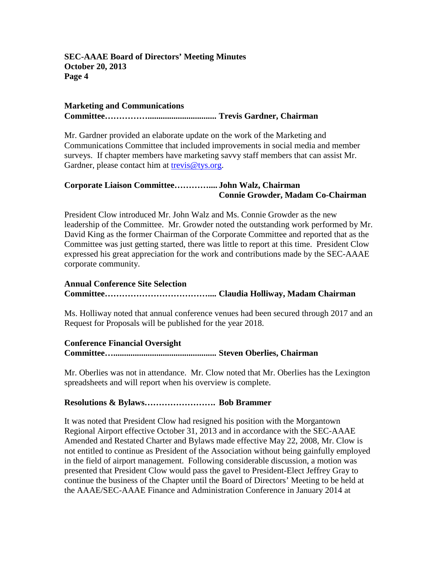#### **Marketing and Communications**

**Committee……………................................ Trevis Gardner, Chairman**

Mr. Gardner provided an elaborate update on the work of the Marketing and Communications Committee that included improvements in social media and member surveys. If chapter members have marketing savvy staff members that can assist Mr. Gardner, please contact him at [trevis@tys.org.](mailto:trevis@tys.org)

## **Corporate Liaison Committee………….... John Walz, Chairman Connie Growder, Madam Co-Chairman**

President Clow introduced Mr. John Walz and Ms. Connie Growder as the new leadership of the Committee. Mr. Growder noted the outstanding work performed by Mr. David King as the former Chairman of the Corporate Committee and reported that as the Committee was just getting started, there was little to report at this time. President Clow expressed his great appreciation for the work and contributions made by the SEC-AAAE corporate community.

## **Annual Conference Site Selection Committee……………………………….... Claudia Holliway, Madam Chairman**

Ms. Holliway noted that annual conference venues had been secured through 2017 and an Request for Proposals will be published for the year 2018.

### **Conference Financial Oversight Committee…................................................ Steven Oberlies, Chairman**

Mr. Oberlies was not in attendance. Mr. Clow noted that Mr. Oberlies has the Lexington spreadsheets and will report when his overview is complete.

#### **Resolutions & Bylaws……………………. Bob Brammer**

It was noted that President Clow had resigned his position with the Morgantown Regional Airport effective October 31, 2013 and in accordance with the SEC-AAAE Amended and Restated Charter and Bylaws made effective May 22, 2008, Mr. Clow is not entitled to continue as President of the Association without being gainfully employed in the field of airport management. Following considerable discussion, a motion was presented that President Clow would pass the gavel to President-Elect Jeffrey Gray to continue the business of the Chapter until the Board of Directors' Meeting to be held at the AAAE/SEC-AAAE Finance and Administration Conference in January 2014 at